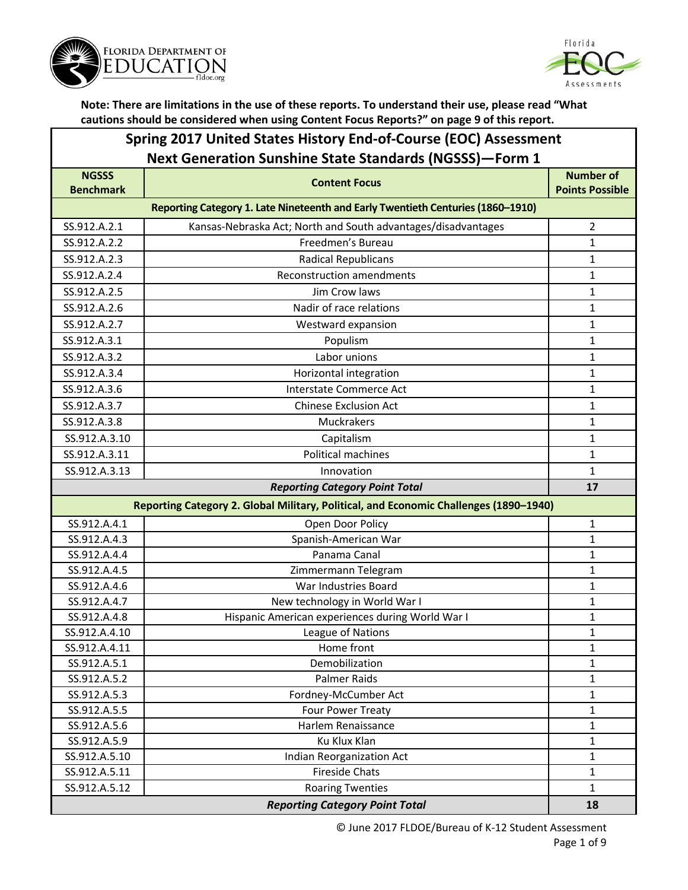



#### **Spring 2017 United States History End-of-Course (EOC) Assessment Next Generation Sunshine State Standards (NGSSS)—Form 1**

| <b>NGSSS</b><br><b>Benchmark</b>      | <b>Content Focus</b>                                                                  | <b>Number of</b><br><b>Points Possible</b> |  |
|---------------------------------------|---------------------------------------------------------------------------------------|--------------------------------------------|--|
|                                       | Reporting Category 1. Late Nineteenth and Early Twentieth Centuries (1860-1910)       |                                            |  |
| SS.912.A.2.1                          | Kansas-Nebraska Act; North and South advantages/disadvantages                         | 2                                          |  |
| SS.912.A.2.2                          | Freedmen's Bureau                                                                     | $\mathbf{1}$                               |  |
| SS.912.A.2.3                          | <b>Radical Republicans</b>                                                            | 1                                          |  |
| SS.912.A.2.4                          | <b>Reconstruction amendments</b>                                                      | 1                                          |  |
| SS.912.A.2.5                          | Jim Crow laws                                                                         | 1                                          |  |
| SS.912.A.2.6                          | Nadir of race relations                                                               | $\mathbf{1}$                               |  |
| SS.912.A.2.7                          | Westward expansion                                                                    | 1                                          |  |
| SS.912.A.3.1                          | Populism                                                                              | $\mathbf{1}$                               |  |
| SS.912.A.3.2                          | Labor unions                                                                          | 1                                          |  |
| SS.912.A.3.4                          | Horizontal integration                                                                | 1                                          |  |
| SS.912.A.3.6                          | <b>Interstate Commerce Act</b>                                                        | $\mathbf{1}$                               |  |
| SS.912.A.3.7                          | <b>Chinese Exclusion Act</b>                                                          | $\mathbf{1}$                               |  |
| SS.912.A.3.8                          | Muckrakers                                                                            | 1                                          |  |
| SS.912.A.3.10                         | Capitalism                                                                            | $\mathbf{1}$                               |  |
| SS.912.A.3.11                         | Political machines                                                                    | 1                                          |  |
| SS.912.A.3.13                         | Innovation                                                                            | 1                                          |  |
| <b>Reporting Category Point Total</b> |                                                                                       | 17                                         |  |
|                                       | Reporting Category 2. Global Military, Political, and Economic Challenges (1890-1940) |                                            |  |
| SS.912.A.4.1                          | Open Door Policy                                                                      | 1                                          |  |
| SS.912.A.4.3                          | Spanish-American War                                                                  | $\mathbf{1}$                               |  |
| SS.912.A.4.4                          | Panama Canal                                                                          | $\mathbf{1}$                               |  |
| SS.912.A.4.5                          | Zimmermann Telegram                                                                   | $\mathbf{1}$                               |  |
| SS.912.A.4.6                          | War Industries Board                                                                  | $\mathbf{1}$                               |  |
| SS.912.A.4.7                          | New technology in World War I                                                         | $\mathbf{1}$                               |  |
| SS.912.A.4.8                          | Hispanic American experiences during World War I                                      | 1                                          |  |
| SS.912.A.4.10                         | League of Nations                                                                     | $\mathbf{1}$                               |  |
| SS.912.A.4.11                         | Home front                                                                            | $\mathbf{1}$                               |  |
| SS.912.A.5.1                          | Demobilization                                                                        | $\mathbf{1}$                               |  |
| SS.912.A.5.2                          | Palmer Raids                                                                          | 1                                          |  |
| SS.912.A.5.3                          | Fordney-McCumber Act                                                                  | 1                                          |  |
| SS.912.A.5.5                          | Four Power Treaty                                                                     | $\mathbf{1}$                               |  |
| SS.912.A.5.6                          | Harlem Renaissance                                                                    | $\mathbf 1$                                |  |
| SS.912.A.5.9                          | Ku Klux Klan                                                                          | $\mathbf 1$                                |  |
| SS.912.A.5.10                         | Indian Reorganization Act<br><b>Fireside Chats</b>                                    | $\mathbf{1}$                               |  |
| SS.912.A.5.11<br>SS.912.A.5.12        | <b>Roaring Twenties</b>                                                               | 1<br>$\mathbf{1}$                          |  |
|                                       | <b>Reporting Category Point Total</b>                                                 | 18                                         |  |
|                                       |                                                                                       |                                            |  |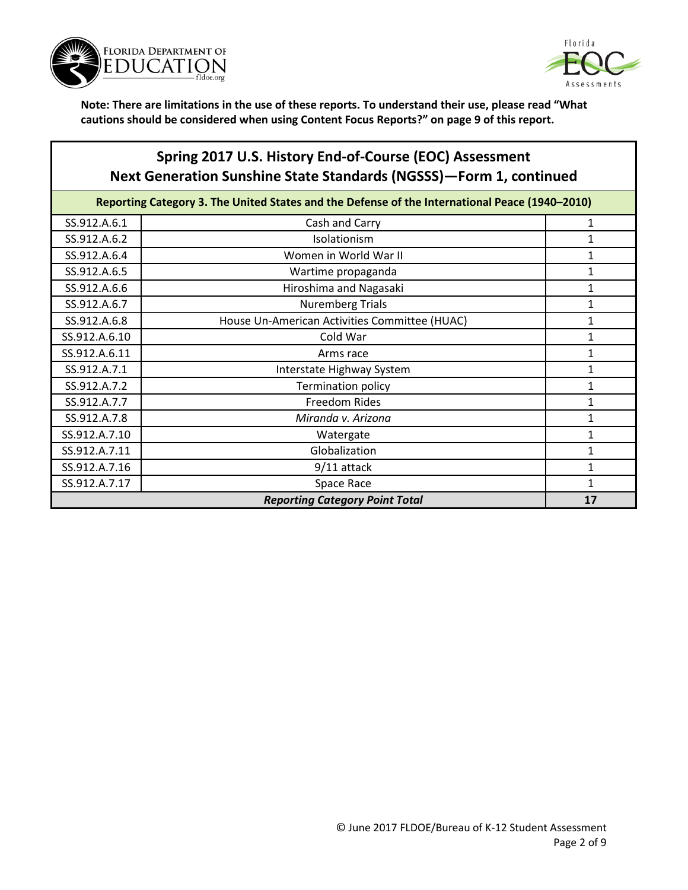



## **Spring 2017 U.S. History End-of-Course (EOC) Assessment Next Generation Sunshine State Standards (NGSSS)—Form 1, continued**

| Reporting Category 3. The United States and the Defense of the International Peace (1940-2010) |                                               |   |
|------------------------------------------------------------------------------------------------|-----------------------------------------------|---|
| SS.912.A.6.1                                                                                   | Cash and Carry                                | 1 |
| SS.912.A.6.2                                                                                   | Isolationism                                  |   |
| SS.912.A.6.4                                                                                   | Women in World War II                         |   |
| SS.912.A.6.5                                                                                   | Wartime propaganda                            | 1 |
| SS.912.A.6.6                                                                                   | Hiroshima and Nagasaki                        | 1 |
| SS.912.A.6.7                                                                                   | <b>Nuremberg Trials</b>                       | 1 |
| SS.912.A.6.8                                                                                   | House Un-American Activities Committee (HUAC) | 1 |
| SS.912.A.6.10                                                                                  | Cold War                                      | 1 |
| SS.912.A.6.11                                                                                  | Arms race                                     | 1 |
| SS.912.A.7.1                                                                                   | Interstate Highway System                     | 1 |
| SS.912.A.7.2                                                                                   | Termination policy                            | 1 |
| SS.912.A.7.7                                                                                   | Freedom Rides                                 |   |
| SS.912.A.7.8                                                                                   | Miranda v. Arizona                            |   |
| SS.912.A.7.10                                                                                  | Watergate                                     | 1 |
| SS.912.A.7.11                                                                                  | Globalization                                 |   |
| SS.912.A.7.16                                                                                  | 9/11 attack                                   | 1 |
| SS.912.A.7.17                                                                                  | Space Race                                    | 1 |
| <b>Reporting Category Point Total</b>                                                          |                                               |   |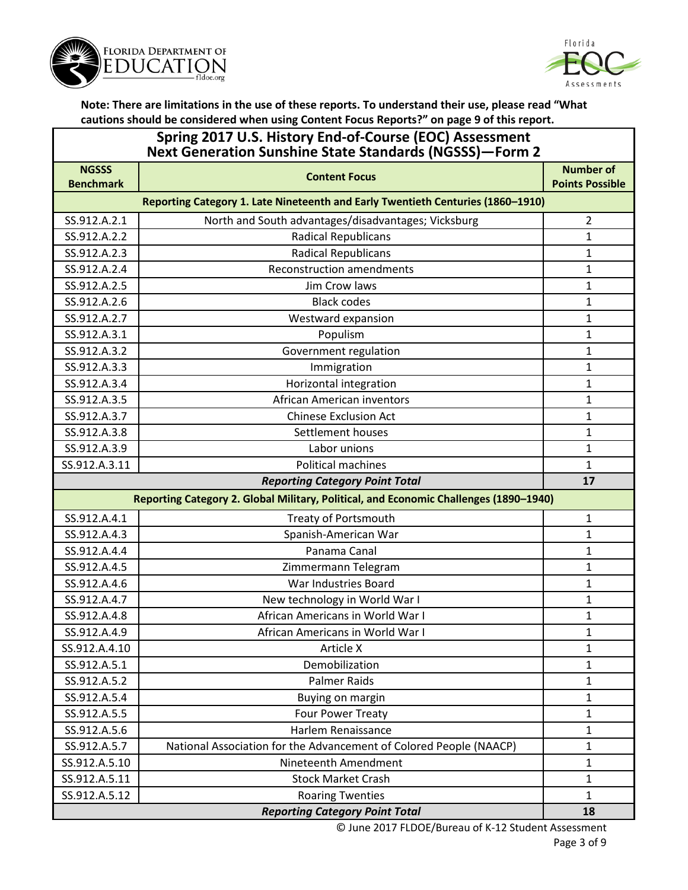



| Spring 2017 U.S. History End-of-Course (EOC) Assessment<br><b>Next Generation Sunshine State Standards (NGSSS)-Form 2</b> |                                                                                       |                        |
|---------------------------------------------------------------------------------------------------------------------------|---------------------------------------------------------------------------------------|------------------------|
| <b>NGSSS</b>                                                                                                              | <b>Content Focus</b>                                                                  | <b>Number of</b>       |
| <b>Benchmark</b>                                                                                                          |                                                                                       | <b>Points Possible</b> |
|                                                                                                                           | Reporting Category 1. Late Nineteenth and Early Twentieth Centuries (1860-1910)       |                        |
| SS.912.A.2.1                                                                                                              | North and South advantages/disadvantages; Vicksburg                                   | $\overline{2}$         |
| SS.912.A.2.2                                                                                                              | <b>Radical Republicans</b>                                                            | 1                      |
| SS.912.A.2.3                                                                                                              | <b>Radical Republicans</b>                                                            | 1                      |
| SS.912.A.2.4                                                                                                              | <b>Reconstruction amendments</b>                                                      | 1                      |
| SS.912.A.2.5                                                                                                              | Jim Crow laws                                                                         | $\mathbf{1}$           |
| SS.912.A.2.6                                                                                                              | <b>Black codes</b>                                                                    | 1                      |
| SS.912.A.2.7                                                                                                              | Westward expansion                                                                    | 1                      |
| SS.912.A.3.1                                                                                                              | Populism                                                                              | 1                      |
| SS.912.A.3.2                                                                                                              | Government regulation                                                                 | 1                      |
| SS.912.A.3.3                                                                                                              | Immigration                                                                           | $\mathbf{1}$           |
| SS.912.A.3.4                                                                                                              | Horizontal integration                                                                | $\mathbf{1}$           |
| SS.912.A.3.5                                                                                                              | African American inventors                                                            | $\mathbf{1}$           |
| SS.912.A.3.7                                                                                                              | <b>Chinese Exclusion Act</b>                                                          | 1                      |
| SS.912.A.3.8                                                                                                              | Settlement houses                                                                     | $\mathbf{1}$           |
| SS.912.A.3.9                                                                                                              | Labor unions                                                                          | $\mathbf{1}$           |
| SS.912.A.3.11                                                                                                             | <b>Political machines</b>                                                             | $\mathbf{1}$           |
|                                                                                                                           | <b>Reporting Category Point Total</b>                                                 | 17                     |
|                                                                                                                           | Reporting Category 2. Global Military, Political, and Economic Challenges (1890-1940) |                        |
| SS.912.A.4.1                                                                                                              | <b>Treaty of Portsmouth</b>                                                           | $\mathbf{1}$           |
| SS.912.A.4.3                                                                                                              | Spanish-American War                                                                  | 1                      |
| SS.912.A.4.4                                                                                                              | Panama Canal                                                                          | 1                      |
| SS.912.A.4.5                                                                                                              | Zimmermann Telegram                                                                   | 1                      |
| SS.912.A.4.6                                                                                                              | War Industries Board                                                                  | 1                      |
| SS.912.A.4.7                                                                                                              | New technology in World War I                                                         |                        |
|                                                                                                                           |                                                                                       | 1                      |
| SS.912.A.4.8                                                                                                              | African Americans in World War I                                                      | 1                      |
| SS.912.A.4.9                                                                                                              | African Americans in World War I                                                      | 1                      |
| SS.912.A.4.10                                                                                                             | Article X                                                                             | $\mathbf{1}$           |
| SS.912.A.5.1                                                                                                              | Demobilization                                                                        | $\mathbf{1}$           |
| SS.912.A.5.2                                                                                                              | <b>Palmer Raids</b>                                                                   | 1                      |
| SS.912.A.5.4                                                                                                              | Buying on margin                                                                      | $\mathbf{1}$           |
| SS.912.A.5.5                                                                                                              | Four Power Treaty                                                                     | $\mathbf{1}$           |
| SS.912.A.5.6                                                                                                              | Harlem Renaissance                                                                    | $\mathbf{1}$           |
| SS.912.A.5.7                                                                                                              | National Association for the Advancement of Colored People (NAACP)                    | $\mathbf{1}$           |
| SS.912.A.5.10                                                                                                             | Nineteenth Amendment                                                                  | $\mathbf{1}$           |
| SS.912.A.5.11                                                                                                             | <b>Stock Market Crash</b>                                                             | $\mathbf{1}$           |
| SS.912.A.5.12                                                                                                             | <b>Roaring Twenties</b>                                                               | $\mathbf{1}$           |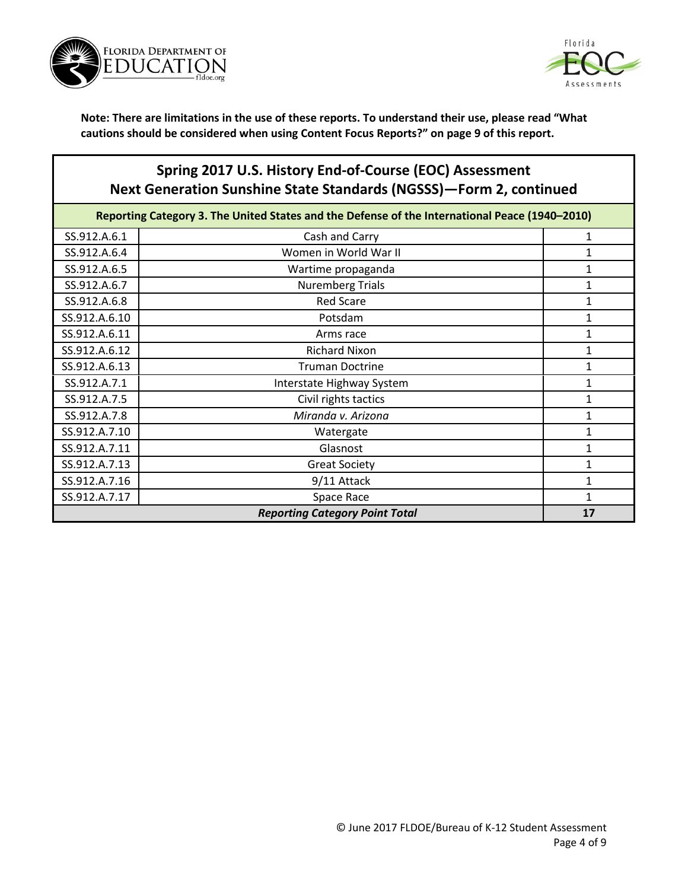



# **Spring 2017 U.S. History End-of-Course (EOC) Assessment Next Generation Sunshine State Standards (NGSSS)—Form 2, continued**

| Reporting Category 3. The United States and the Defense of the International Peace (1940-2010) |                                             |   |  |
|------------------------------------------------------------------------------------------------|---------------------------------------------|---|--|
| SS.912.A.6.1                                                                                   | Cash and Carry                              |   |  |
| SS.912.A.6.4                                                                                   | Women in World War II                       |   |  |
| SS.912.A.6.5                                                                                   | Wartime propaganda                          |   |  |
| SS.912.A.6.7                                                                                   | <b>Nuremberg Trials</b>                     |   |  |
| SS.912.A.6.8                                                                                   | <b>Red Scare</b>                            |   |  |
| SS.912.A.6.10                                                                                  | Potsdam                                     |   |  |
| SS.912.A.6.11                                                                                  | Arms race                                   |   |  |
| SS.912.A.6.12                                                                                  | <b>Richard Nixon</b>                        |   |  |
| SS.912.A.6.13                                                                                  | <b>Truman Doctrine</b>                      |   |  |
| SS.912.A.7.1                                                                                   | Interstate Highway System                   |   |  |
| SS.912.A.7.5                                                                                   | Civil rights tactics                        |   |  |
| SS.912.A.7.8                                                                                   | Miranda v. Arizona                          |   |  |
| SS.912.A.7.10                                                                                  | Watergate                                   |   |  |
| SS.912.A.7.11                                                                                  | Glasnost                                    |   |  |
| SS.912.A.7.13                                                                                  | <b>Great Society</b>                        |   |  |
| SS.912.A.7.16                                                                                  | 9/11 Attack                                 |   |  |
| SS.912.A.7.17                                                                                  | Space Race                                  | 1 |  |
|                                                                                                | <b>Reporting Category Point Total</b><br>17 |   |  |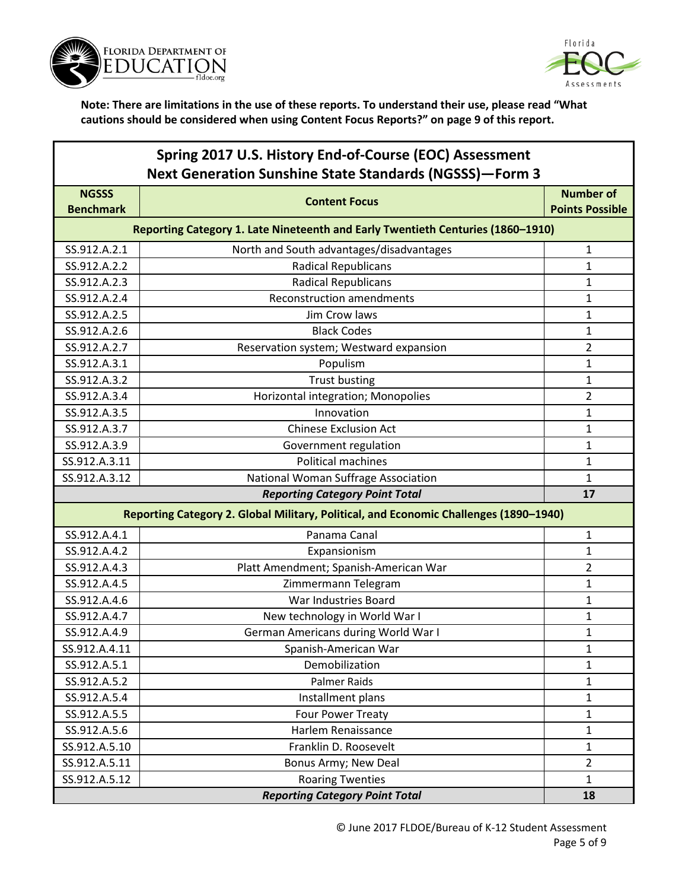



| Spring 2017 U.S. History End-of-Course (EOC) Assessment        |
|----------------------------------------------------------------|
| <b>Next Generation Sunshine State Standards (NGSSS)-Form 3</b> |

| <b>NGSSS</b><br><b>Benchmark</b> | <b>Content Focus</b>                                                                  | <b>Number of</b><br><b>Points Possible</b> |  |
|----------------------------------|---------------------------------------------------------------------------------------|--------------------------------------------|--|
|                                  | Reporting Category 1. Late Nineteenth and Early Twentieth Centuries (1860-1910)       |                                            |  |
| SS.912.A.2.1                     | North and South advantages/disadvantages                                              | $\mathbf{1}$                               |  |
| SS.912.A.2.2                     | <b>Radical Republicans</b>                                                            | $\mathbf{1}$                               |  |
| SS.912.A.2.3                     | <b>Radical Republicans</b>                                                            | $\mathbf{1}$                               |  |
| SS.912.A.2.4                     | <b>Reconstruction amendments</b>                                                      | 1                                          |  |
| SS.912.A.2.5                     | Jim Crow laws                                                                         | 1                                          |  |
| SS.912.A.2.6                     | <b>Black Codes</b>                                                                    | $\mathbf{1}$                               |  |
| SS.912.A.2.7                     | Reservation system; Westward expansion                                                | $\overline{2}$                             |  |
| SS.912.A.3.1                     | Populism                                                                              | $\mathbf{1}$                               |  |
| SS.912.A.3.2                     | <b>Trust busting</b>                                                                  | $\mathbf{1}$                               |  |
| SS.912.A.3.4                     | Horizontal integration; Monopolies                                                    | $\overline{2}$                             |  |
| SS.912.A.3.5                     | Innovation                                                                            | $\mathbf{1}$                               |  |
| SS.912.A.3.7                     | <b>Chinese Exclusion Act</b>                                                          | 1                                          |  |
| SS.912.A.3.9                     | Government regulation                                                                 | $\mathbf{1}$                               |  |
| SS.912.A.3.11                    | <b>Political machines</b>                                                             | $\mathbf{1}$                               |  |
| SS.912.A.3.12                    | National Woman Suffrage Association                                                   | $\mathbf{1}$                               |  |
|                                  | <b>Reporting Category Point Total</b>                                                 | 17                                         |  |
|                                  | Reporting Category 2. Global Military, Political, and Economic Challenges (1890-1940) |                                            |  |
| SS.912.A.4.1                     | Panama Canal                                                                          | 1                                          |  |
| SS.912.A.4.2                     | Expansionism                                                                          | 1                                          |  |
| SS.912.A.4.3                     | Platt Amendment; Spanish-American War                                                 | $\overline{2}$                             |  |
| SS.912.A.4.5                     | Zimmermann Telegram                                                                   | $\mathbf{1}$                               |  |
| SS.912.A.4.6                     | War Industries Board                                                                  | $\mathbf{1}$                               |  |
| SS.912.A.4.7                     | New technology in World War I                                                         | $\mathbf{1}$                               |  |
| SS.912.A.4.9                     | German Americans during World War I                                                   | $\mathbf{1}$                               |  |
| SS.912.A.4.11                    | Spanish-American War                                                                  | 1                                          |  |
| SS.912.A.5.1                     | Demobilization                                                                        | 1                                          |  |
| SS.912.A.5.2                     | Palmer Raids                                                                          | 1                                          |  |
| SS.912.A.5.4                     | Installment plans                                                                     | $\mathbf{1}$                               |  |
| SS.912.A.5.5                     | Four Power Treaty                                                                     | $\mathbf{1}$                               |  |
| SS.912.A.5.6                     | Harlem Renaissance                                                                    | $\mathbf{1}$                               |  |
| SS.912.A.5.10                    | Franklin D. Roosevelt                                                                 | $\mathbf{1}$                               |  |
| SS.912.A.5.11                    | Bonus Army; New Deal                                                                  | $\overline{2}$                             |  |
| SS.912.A.5.12                    | <b>Roaring Twenties</b>                                                               | $\mathbf{1}$                               |  |
|                                  | <b>Reporting Category Point Total</b>                                                 | 18                                         |  |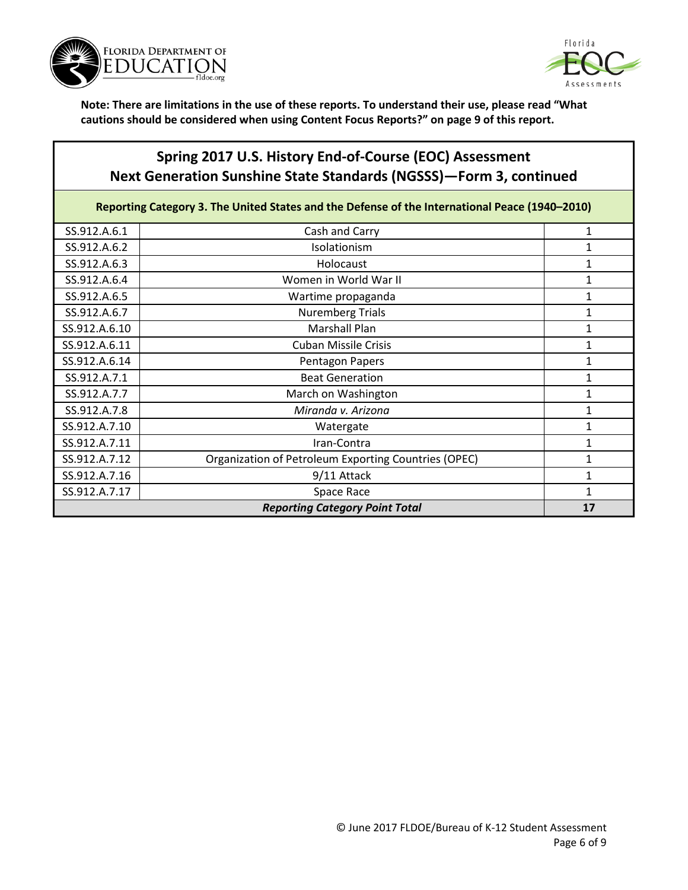



## **Spring 2017 U.S. History End-of-Course (EOC) Assessment Next Generation Sunshine State Standards (NGSSS)—Form 3, continued**

Reporting Category 3. The United States and the Defense of the International Peace (1940–2010)

| SS.912.A.6.1                          | Cash and Carry                                       | 1 |
|---------------------------------------|------------------------------------------------------|---|
| SS.912.A.6.2                          | Isolationism                                         |   |
| SS.912.A.6.3                          | Holocaust                                            |   |
| SS.912.A.6.4                          | Women in World War II                                |   |
| SS.912.A.6.5                          | Wartime propaganda                                   |   |
| SS.912.A.6.7                          | <b>Nuremberg Trials</b>                              |   |
| SS.912.A.6.10                         | <b>Marshall Plan</b>                                 |   |
| SS.912.A.6.11                         | <b>Cuban Missile Crisis</b>                          | 1 |
| SS.912.A.6.14                         | Pentagon Papers                                      |   |
| SS.912.A.7.1                          | <b>Beat Generation</b>                               |   |
| SS.912.A.7.7                          | March on Washington                                  |   |
| SS.912.A.7.8                          | Miranda v. Arizona                                   |   |
| SS.912.A.7.10                         | Watergate                                            | 1 |
| SS.912.A.7.11                         | Iran-Contra                                          | 1 |
| SS.912.A.7.12                         | Organization of Petroleum Exporting Countries (OPEC) | 1 |
| SS.912.A.7.16                         | 9/11 Attack                                          | 1 |
| SS.912.A.7.17                         | Space Race                                           | 1 |
| <b>Reporting Category Point Total</b> |                                                      |   |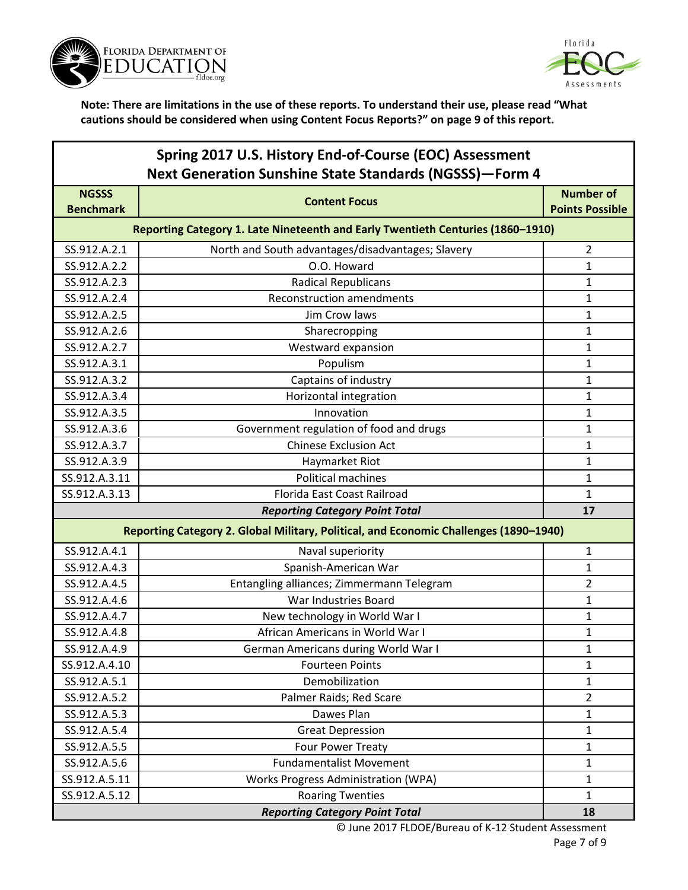



| Spring 2017 U.S. History End-of-Course (EOC) Assessment        |
|----------------------------------------------------------------|
| <b>Next Generation Sunshine State Standards (NGSSS)-Form 4</b> |

| <b>NGSSS</b><br><b>Benchmark</b>                                                | <b>Content Focus</b>                                                                  | <b>Number of</b><br><b>Points Possible</b> |
|---------------------------------------------------------------------------------|---------------------------------------------------------------------------------------|--------------------------------------------|
| Reporting Category 1. Late Nineteenth and Early Twentieth Centuries (1860-1910) |                                                                                       |                                            |
| SS.912.A.2.1                                                                    | North and South advantages/disadvantages; Slavery                                     | 2                                          |
| SS.912.A.2.2                                                                    | O.O. Howard                                                                           | $\mathbf{1}$                               |
| SS.912.A.2.3                                                                    | <b>Radical Republicans</b>                                                            | $\mathbf{1}$                               |
| SS.912.A.2.4                                                                    | <b>Reconstruction amendments</b>                                                      | 1                                          |
| SS.912.A.2.5                                                                    | Jim Crow laws                                                                         | $\mathbf{1}$                               |
| SS.912.A.2.6                                                                    | Sharecropping                                                                         | $\mathbf{1}$                               |
| SS.912.A.2.7                                                                    | Westward expansion                                                                    | 1                                          |
| SS.912.A.3.1                                                                    | Populism                                                                              | $\mathbf{1}$                               |
| SS.912.A.3.2                                                                    | Captains of industry                                                                  | 1                                          |
| SS.912.A.3.4                                                                    | Horizontal integration                                                                | 1                                          |
| SS.912.A.3.5                                                                    | Innovation                                                                            | $\mathbf{1}$                               |
| SS.912.A.3.6                                                                    | Government regulation of food and drugs                                               | $\mathbf{1}$                               |
| SS.912.A.3.7                                                                    | <b>Chinese Exclusion Act</b>                                                          | $\mathbf{1}$                               |
| SS.912.A.3.9                                                                    | Haymarket Riot                                                                        | 1                                          |
| SS.912.A.3.11                                                                   | <b>Political machines</b>                                                             | 1                                          |
| SS.912.A.3.13                                                                   | Florida East Coast Railroad                                                           | 1                                          |
|                                                                                 | <b>Reporting Category Point Total</b>                                                 | 17                                         |
|                                                                                 | Reporting Category 2. Global Military, Political, and Economic Challenges (1890-1940) |                                            |
| SS.912.A.4.1                                                                    | Naval superiority                                                                     | $\mathbf{1}$                               |
| SS.912.A.4.3                                                                    | Spanish-American War                                                                  | $\mathbf{1}$                               |
| SS.912.A.4.5                                                                    | Entangling alliances; Zimmermann Telegram                                             | $\overline{2}$                             |
| SS.912.A.4.6                                                                    | War Industries Board                                                                  | $\mathbf{1}$                               |
| SS.912.A.4.7                                                                    | New technology in World War I                                                         | $\mathbf{1}$                               |
| SS.912.A.4.8                                                                    | African Americans in World War I                                                      | 1                                          |
| SS.912.A.4.9                                                                    | German Americans during World War I                                                   | 1                                          |
| SS.912.A.4.10                                                                   | <b>Fourteen Points</b>                                                                | $\mathbf{1}$                               |
| SS.912.A.5.1                                                                    | Demobilization                                                                        | 1                                          |
| SS.912.A.5.2                                                                    | Palmer Raids; Red Scare                                                               | $\overline{2}$                             |
| SS.912.A.5.3                                                                    | Dawes Plan                                                                            | $\mathbf{1}$                               |
| SS.912.A.5.4                                                                    | <b>Great Depression</b>                                                               | 1                                          |
| SS.912.A.5.5                                                                    | Four Power Treaty                                                                     | 1                                          |
| SS.912.A.5.6                                                                    | <b>Fundamentalist Movement</b>                                                        | $\mathbf{1}$                               |
| SS.912.A.5.11                                                                   | Works Progress Administration (WPA)                                                   | 1                                          |
| SS.912.A.5.12                                                                   | <b>Roaring Twenties</b>                                                               | $\mathbf{1}$                               |
|                                                                                 | <b>Reporting Category Point Total</b>                                                 | 18                                         |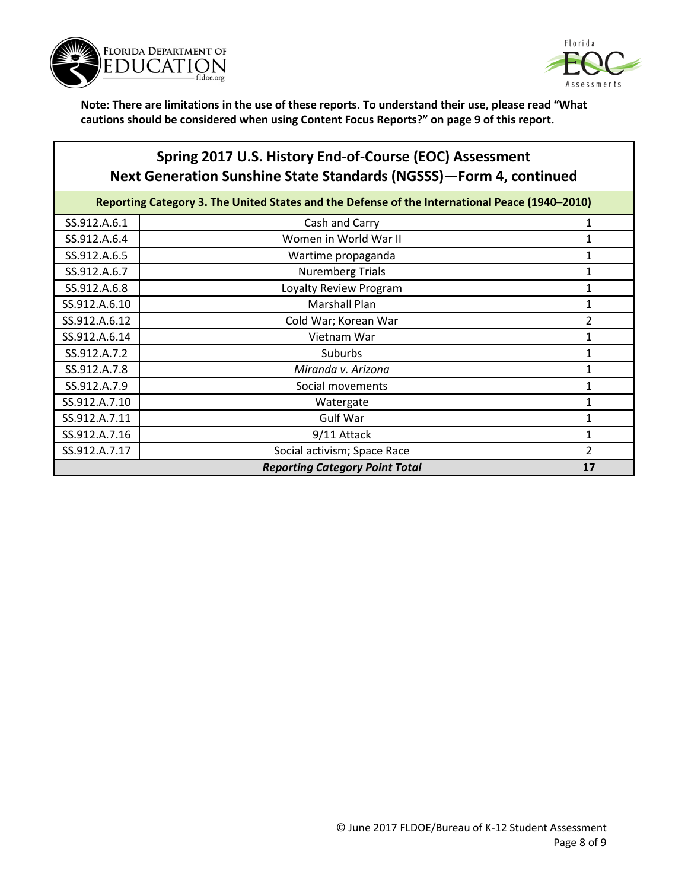



## **Spring 2017 U.S. History End-of-Course (EOC) Assessment Next Generation Sunshine State Standards (NGSSS)—Form 4, continued**

| Reporting Category 3. The United States and the Defense of the International Peace (1940-2010) |                             |                |
|------------------------------------------------------------------------------------------------|-----------------------------|----------------|
| SS.912.A.6.1                                                                                   | Cash and Carry              | 1              |
| SS.912.A.6.4                                                                                   | Women in World War II       |                |
| SS.912.A.6.5                                                                                   | Wartime propaganda          |                |
| SS.912.A.6.7                                                                                   | <b>Nuremberg Trials</b>     |                |
| SS.912.A.6.8                                                                                   | Loyalty Review Program      |                |
| SS.912.A.6.10                                                                                  | <b>Marshall Plan</b>        |                |
| SS.912.A.6.12                                                                                  | Cold War; Korean War        | 2              |
| SS.912.A.6.14                                                                                  | Vietnam War                 |                |
| SS.912.A.7.2                                                                                   | Suburbs                     | 1              |
| SS.912.A.7.8                                                                                   | Miranda v. Arizona          | 1              |
| SS.912.A.7.9                                                                                   | Social movements            |                |
| SS.912.A.7.10                                                                                  | Watergate                   |                |
| SS.912.A.7.11                                                                                  | <b>Gulf War</b>             |                |
| SS.912.A.7.16                                                                                  | 9/11 Attack                 |                |
| SS.912.A.7.17                                                                                  | Social activism; Space Race | $\overline{2}$ |
| <b>Reporting Category Point Total</b>                                                          |                             |                |